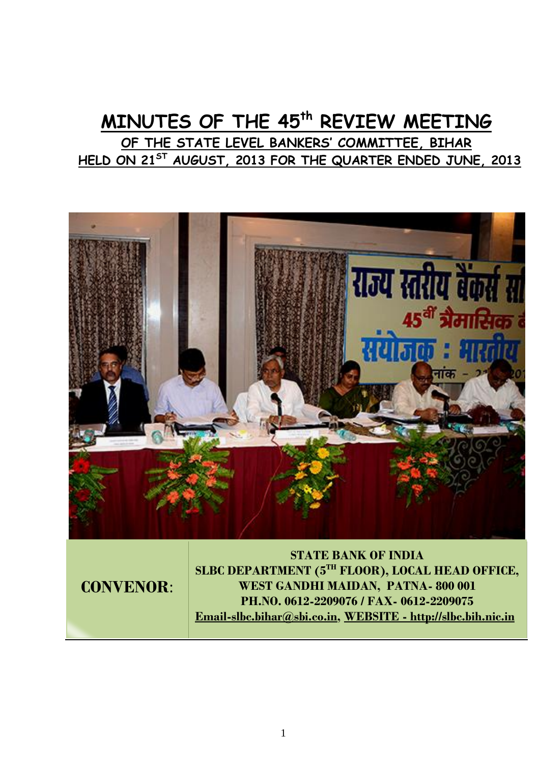# **MINUTES OF THE 45th REVIEW MEETING OF THE STATE LEVEL BANKERS' COMMITTEE, BIHAR HELD ON 21ST AUGUST, 2013 FOR THE QUARTER ENDED JUNE, 2013**



**CONVENOR**:

**STATE BANK OF INDIA SLBC DEPARTMENT (5TH FLOOR), LOCAL HEAD OFFICE, WEST GANDHI MAIDAN, PATNA- 800 001 PH.NO. 0612-2209076 / FAX- 0612-2209075 Email-slbc.bihar@sbi.co.in, WEBSITE - http://slbc.bih.nic.in**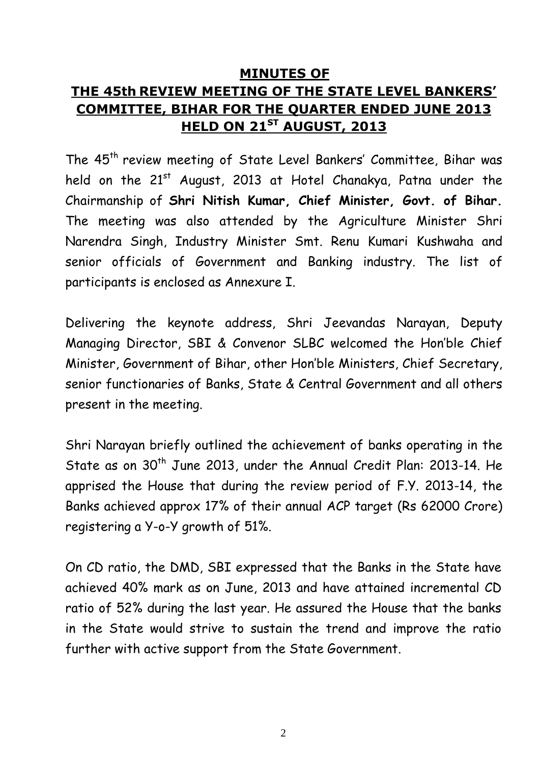## **MINUTES OF THE 45th REVIEW MEETING OF THE STATE LEVEL BANKERS' COMMITTEE, BIHAR FOR THE QUARTER ENDED JUNE 2013 HELD ON 21ST AUGUST, 2013**

The 45<sup>th</sup> review meeting of State Level Bankers' Committee, Bihar was held on the 21<sup>st</sup> August, 2013 at Hotel Chanakya, Patna under the Chairmanship of **Shri Nitish Kumar, Chief Minister, Govt. of Bihar.** The meeting was also attended by the Agriculture Minister Shri Narendra Singh, Industry Minister Smt. Renu Kumari Kushwaha and senior officials of Government and Banking industry. The list of participants is enclosed as Annexure I.

Delivering the keynote address, Shri Jeevandas Narayan, Deputy Managing Director, SBI & Convenor SLBC welcomed the Hon'ble Chief Minister, Government of Bihar, other Hon'ble Ministers, Chief Secretary, senior functionaries of Banks, State & Central Government and all others present in the meeting.

Shri Narayan briefly outlined the achievement of banks operating in the State as on 30<sup>th</sup> June 2013, under the Annual Credit Plan: 2013-14. He apprised the House that during the review period of F.Y. 2013-14, the Banks achieved approx 17% of their annual ACP target (Rs 62000 Crore) registering a Y-o-Y growth of 51%.

On CD ratio, the DMD, SBI expressed that the Banks in the State have achieved 40% mark as on June, 2013 and have attained incremental CD ratio of 52% during the last year. He assured the House that the banks in the State would strive to sustain the trend and improve the ratio further with active support from the State Government.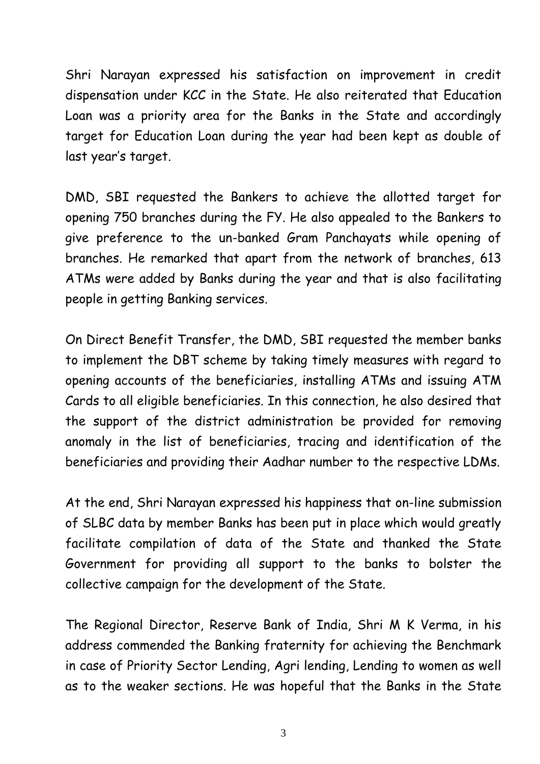Shri Narayan expressed his satisfaction on improvement in credit dispensation under KCC in the State. He also reiterated that Education Loan was a priority area for the Banks in the State and accordingly target for Education Loan during the year had been kept as double of last year's target.

DMD, SBI requested the Bankers to achieve the allotted target for opening 750 branches during the FY. He also appealed to the Bankers to give preference to the un-banked Gram Panchayats while opening of branches. He remarked that apart from the network of branches, 613 ATMs were added by Banks during the year and that is also facilitating people in getting Banking services.

On Direct Benefit Transfer, the DMD, SBI requested the member banks to implement the DBT scheme by taking timely measures with regard to opening accounts of the beneficiaries, installing ATMs and issuing ATM Cards to all eligible beneficiaries. In this connection, he also desired that the support of the district administration be provided for removing anomaly in the list of beneficiaries, tracing and identification of the beneficiaries and providing their Aadhar number to the respective LDMs.

At the end, Shri Narayan expressed his happiness that on-line submission of SLBC data by member Banks has been put in place which would greatly facilitate compilation of data of the State and thanked the State Government for providing all support to the banks to bolster the collective campaign for the development of the State.

The Regional Director, Reserve Bank of India, Shri M K Verma, in his address commended the Banking fraternity for achieving the Benchmark in case of Priority Sector Lending, Agri lending, Lending to women as well as to the weaker sections. He was hopeful that the Banks in the State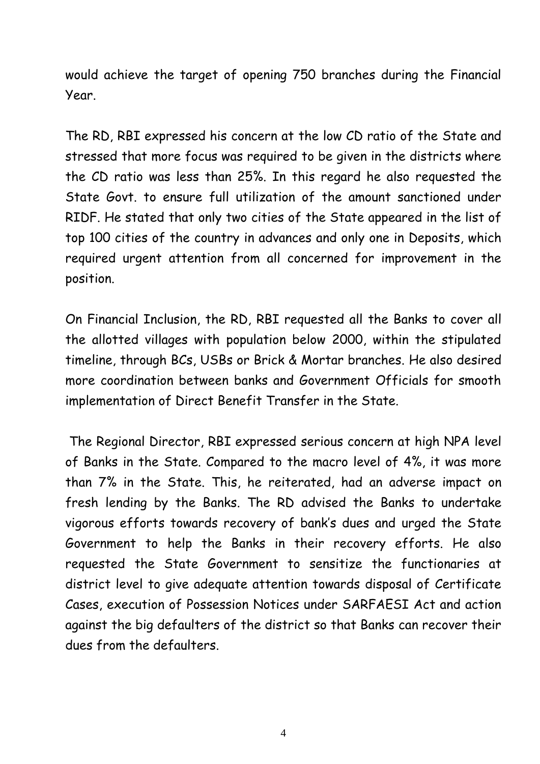would achieve the target of opening 750 branches during the Financial Year.

The RD, RBI expressed his concern at the low CD ratio of the State and stressed that more focus was required to be given in the districts where the CD ratio was less than 25%. In this regard he also requested the State Govt. to ensure full utilization of the amount sanctioned under RIDF. He stated that only two cities of the State appeared in the list of top 100 cities of the country in advances and only one in Deposits, which required urgent attention from all concerned for improvement in the position.

On Financial Inclusion, the RD, RBI requested all the Banks to cover all the allotted villages with population below 2000, within the stipulated timeline, through BCs, USBs or Brick & Mortar branches. He also desired more coordination between banks and Government Officials for smooth implementation of Direct Benefit Transfer in the State.

The Regional Director, RBI expressed serious concern at high NPA level of Banks in the State. Compared to the macro level of 4%, it was more than 7% in the State. This, he reiterated, had an adverse impact on fresh lending by the Banks. The RD advised the Banks to undertake vigorous efforts towards recovery of bank's dues and urged the State Government to help the Banks in their recovery efforts. He also requested the State Government to sensitize the functionaries at district level to give adequate attention towards disposal of Certificate Cases, execution of Possession Notices under SARFAESI Act and action against the big defaulters of the district so that Banks can recover their dues from the defaulters.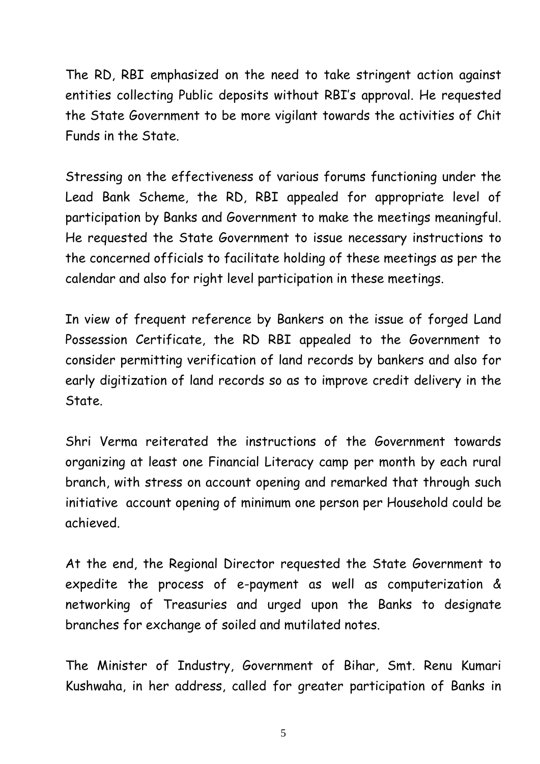The RD, RBI emphasized on the need to take stringent action against entities collecting Public deposits without RBI's approval. He requested the State Government to be more vigilant towards the activities of Chit Funds in the State.

Stressing on the effectiveness of various forums functioning under the Lead Bank Scheme, the RD, RBI appealed for appropriate level of participation by Banks and Government to make the meetings meaningful. He requested the State Government to issue necessary instructions to the concerned officials to facilitate holding of these meetings as per the calendar and also for right level participation in these meetings.

In view of frequent reference by Bankers on the issue of forged Land Possession Certificate, the RD RBI appealed to the Government to consider permitting verification of land records by bankers and also for early digitization of land records so as to improve credit delivery in the State.

Shri Verma reiterated the instructions of the Government towards organizing at least one Financial Literacy camp per month by each rural branch, with stress on account opening and remarked that through such initiative account opening of minimum one person per Household could be achieved.

At the end, the Regional Director requested the State Government to expedite the process of e-payment as well as computerization & networking of Treasuries and urged upon the Banks to designate branches for exchange of soiled and mutilated notes.

The Minister of Industry, Government of Bihar, Smt. Renu Kumari Kushwaha, in her address, called for greater participation of Banks in

5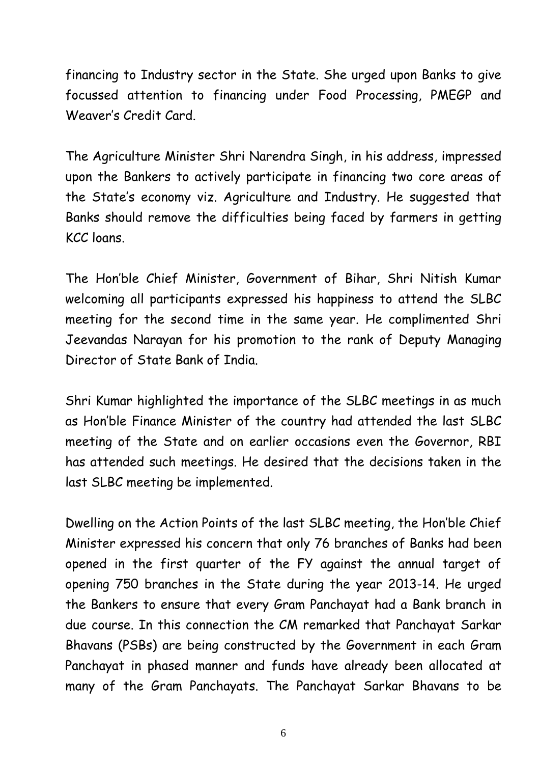financing to Industry sector in the State. She urged upon Banks to give focussed attention to financing under Food Processing, PMEGP and Weaver's Credit Card.

The Agriculture Minister Shri Narendra Singh, in his address, impressed upon the Bankers to actively participate in financing two core areas of the State's economy viz. Agriculture and Industry. He suggested that Banks should remove the difficulties being faced by farmers in getting KCC loans.

The Hon'ble Chief Minister, Government of Bihar, Shri Nitish Kumar welcoming all participants expressed his happiness to attend the SLBC meeting for the second time in the same year. He complimented Shri Jeevandas Narayan for his promotion to the rank of Deputy Managing Director of State Bank of India.

Shri Kumar highlighted the importance of the SLBC meetings in as much as Hon'ble Finance Minister of the country had attended the last SLBC meeting of the State and on earlier occasions even the Governor, RBI has attended such meetings. He desired that the decisions taken in the last SLBC meeting be implemented.

Dwelling on the Action Points of the last SLBC meeting, the Hon'ble Chief Minister expressed his concern that only 76 branches of Banks had been opened in the first quarter of the FY against the annual target of opening 750 branches in the State during the year 2013-14. He urged the Bankers to ensure that every Gram Panchayat had a Bank branch in due course. In this connection the CM remarked that Panchayat Sarkar Bhavans (PSBs) are being constructed by the Government in each Gram Panchayat in phased manner and funds have already been allocated at many of the Gram Panchayats. The Panchayat Sarkar Bhavans to be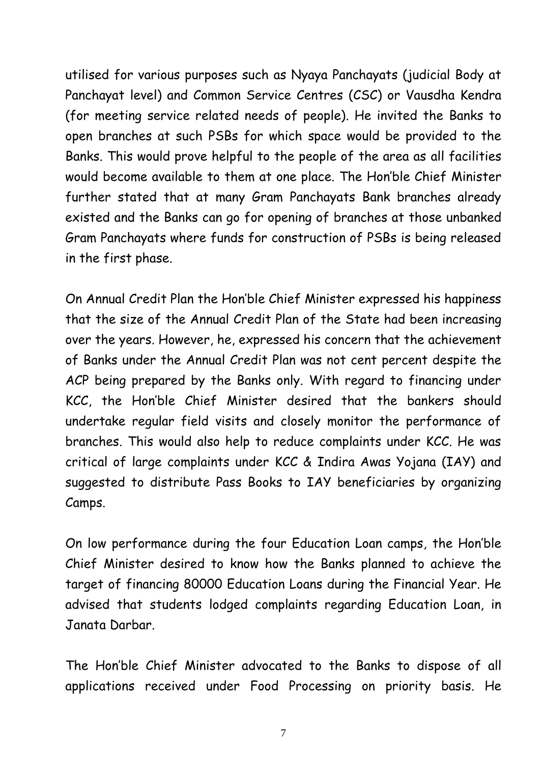utilised for various purposes such as Nyaya Panchayats (judicial Body at Panchayat level) and Common Service Centres (CSC) or Vausdha Kendra (for meeting service related needs of people). He invited the Banks to open branches at such PSBs for which space would be provided to the Banks. This would prove helpful to the people of the area as all facilities would become available to them at one place. The Hon'ble Chief Minister further stated that at many Gram Panchayats Bank branches already existed and the Banks can go for opening of branches at those unbanked Gram Panchayats where funds for construction of PSBs is being released in the first phase.

On Annual Credit Plan the Hon'ble Chief Minister expressed his happiness that the size of the Annual Credit Plan of the State had been increasing over the years. However, he, expressed his concern that the achievement of Banks under the Annual Credit Plan was not cent percent despite the ACP being prepared by the Banks only. With regard to financing under KCC, the Hon'ble Chief Minister desired that the bankers should undertake regular field visits and closely monitor the performance of branches. This would also help to reduce complaints under KCC. He was critical of large complaints under KCC & Indira Awas Yojana (IAY) and suggested to distribute Pass Books to IAY beneficiaries by organizing Camps.

On low performance during the four Education Loan camps, the Hon'ble Chief Minister desired to know how the Banks planned to achieve the target of financing 80000 Education Loans during the Financial Year. He advised that students lodged complaints regarding Education Loan, in Janata Darbar.

The Hon'ble Chief Minister advocated to the Banks to dispose of all applications received under Food Processing on priority basis. He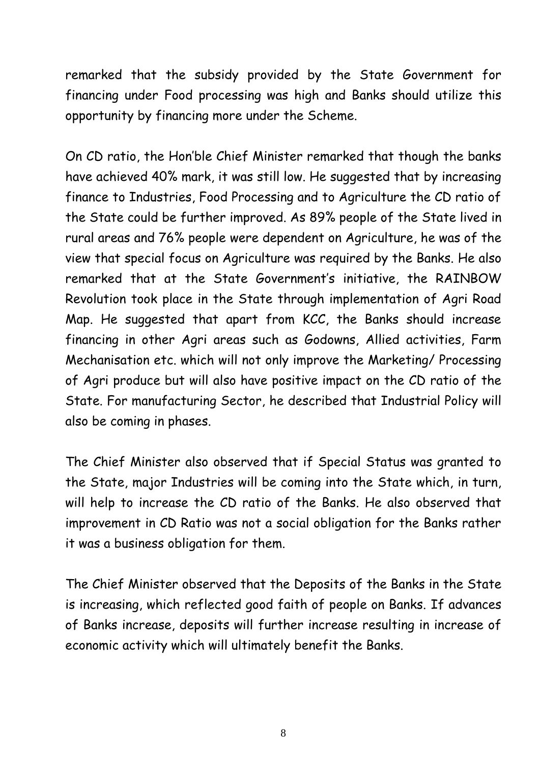remarked that the subsidy provided by the State Government for financing under Food processing was high and Banks should utilize this opportunity by financing more under the Scheme.

On CD ratio, the Hon'ble Chief Minister remarked that though the banks have achieved 40% mark, it was still low. He suggested that by increasing finance to Industries, Food Processing and to Agriculture the CD ratio of the State could be further improved. As 89% people of the State lived in rural areas and 76% people were dependent on Agriculture, he was of the view that special focus on Agriculture was required by the Banks. He also remarked that at the State Government's initiative, the RAINBOW Revolution took place in the State through implementation of Agri Road Map. He suggested that apart from KCC, the Banks should increase financing in other Agri areas such as Godowns, Allied activities, Farm Mechanisation etc. which will not only improve the Marketing/ Processing of Agri produce but will also have positive impact on the CD ratio of the State. For manufacturing Sector, he described that Industrial Policy will also be coming in phases.

The Chief Minister also observed that if Special Status was granted to the State, major Industries will be coming into the State which, in turn, will help to increase the CD ratio of the Banks. He also observed that improvement in CD Ratio was not a social obligation for the Banks rather it was a business obligation for them.

The Chief Minister observed that the Deposits of the Banks in the State is increasing, which reflected good faith of people on Banks. If advances of Banks increase, deposits will further increase resulting in increase of economic activity which will ultimately benefit the Banks.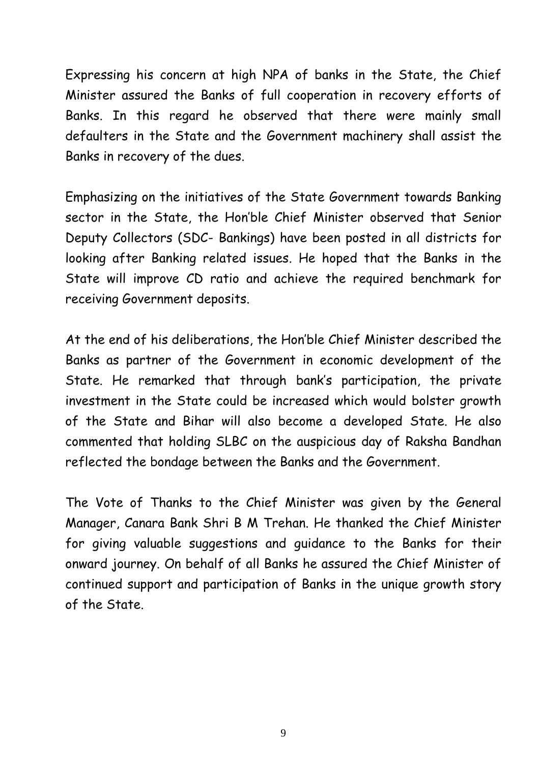Expressing his concern at high NPA of banks in the State, the Chief Minister assured the Banks of full cooperation in recovery efforts of Banks. In this regard he observed that there were mainly small defaulters in the State and the Government machinery shall assist the Banks in recovery of the dues.

Emphasizing on the initiatives of the State Government towards Banking sector in the State, the Hon'ble Chief Minister observed that Senior Deputy Collectors (SDC- Bankings) have been posted in all districts for looking after Banking related issues. He hoped that the Banks in the State will improve CD ratio and achieve the required benchmark for receiving Government deposits.

At the end of his deliberations, the Hon'ble Chief Minister described the Banks as partner of the Government in economic development of the State. He remarked that through bank's participation, the private investment in the State could be increased which would bolster growth of the State and Bihar will also become a developed State. He also commented that holding SLBC on the auspicious day of Raksha Bandhan reflected the bondage between the Banks and the Government.

The Vote of Thanks to the Chief Minister was given by the General Manager, Canara Bank Shri B M Trehan. He thanked the Chief Minister for giving valuable suggestions and guidance to the Banks for their onward journey. On behalf of all Banks he assured the Chief Minister of continued support and participation of Banks in the unique growth story of the State.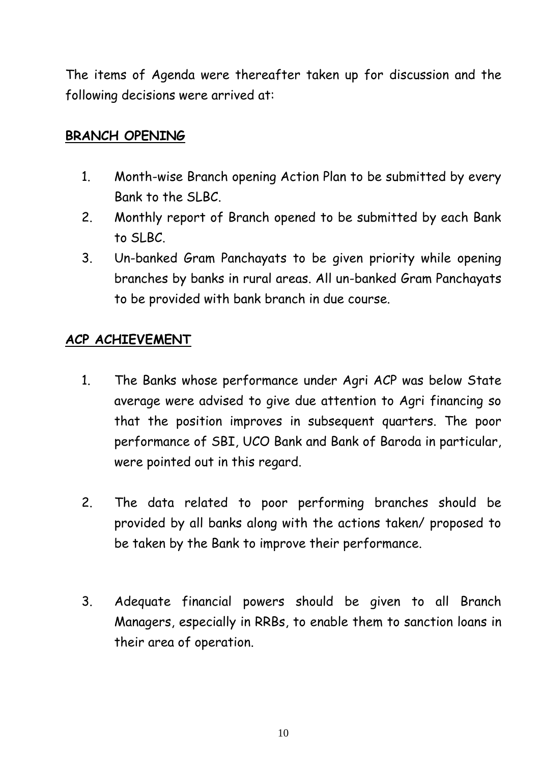The items of Agenda were thereafter taken up for discussion and the following decisions were arrived at:

#### **BRANCH OPENING**

- 1. Month-wise Branch opening Action Plan to be submitted by every Bank to the SLBC.
- 2. Monthly report of Branch opened to be submitted by each Bank to SLBC.
- 3. Un-banked Gram Panchayats to be given priority while opening branches by banks in rural areas. All un-banked Gram Panchayats to be provided with bank branch in due course.

#### **ACP ACHIEVEMENT**

- 1. The Banks whose performance under Agri ACP was below State average were advised to give due attention to Agri financing so that the position improves in subsequent quarters. The poor performance of SBI, UCO Bank and Bank of Baroda in particular, were pointed out in this regard.
- 2. The data related to poor performing branches should be provided by all banks along with the actions taken/ proposed to be taken by the Bank to improve their performance.
- 3. Adequate financial powers should be given to all Branch Managers, especially in RRBs, to enable them to sanction loans in their area of operation.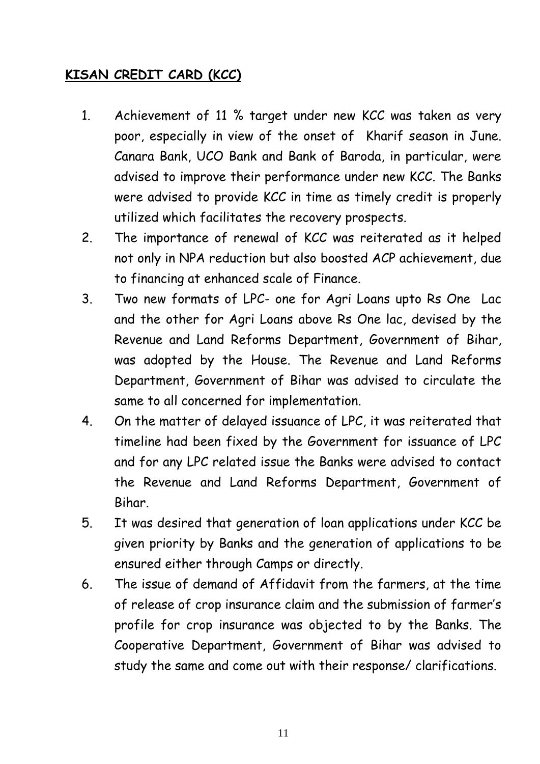## **KISAN CREDIT CARD (KCC)**

- 1. Achievement of 11 % target under new KCC was taken as very poor, especially in view of the onset of Kharif season in June. Canara Bank, UCO Bank and Bank of Baroda, in particular, were advised to improve their performance under new KCC. The Banks were advised to provide KCC in time as timely credit is properly utilized which facilitates the recovery prospects.
- 2. The importance of renewal of KCC was reiterated as it helped not only in NPA reduction but also boosted ACP achievement, due to financing at enhanced scale of Finance.
- 3. Two new formats of LPC- one for Agri Loans upto Rs One Lac and the other for Agri Loans above Rs One lac, devised by the Revenue and Land Reforms Department, Government of Bihar, was adopted by the House. The Revenue and Land Reforms Department, Government of Bihar was advised to circulate the same to all concerned for implementation.
- 4. On the matter of delayed issuance of LPC, it was reiterated that timeline had been fixed by the Government for issuance of LPC and for any LPC related issue the Banks were advised to contact the Revenue and Land Reforms Department, Government of Bihar.
- 5. It was desired that generation of loan applications under KCC be given priority by Banks and the generation of applications to be ensured either through Camps or directly.
- 6. The issue of demand of Affidavit from the farmers, at the time of release of crop insurance claim and the submission of farmer's profile for crop insurance was objected to by the Banks. The Cooperative Department, Government of Bihar was advised to study the same and come out with their response/ clarifications.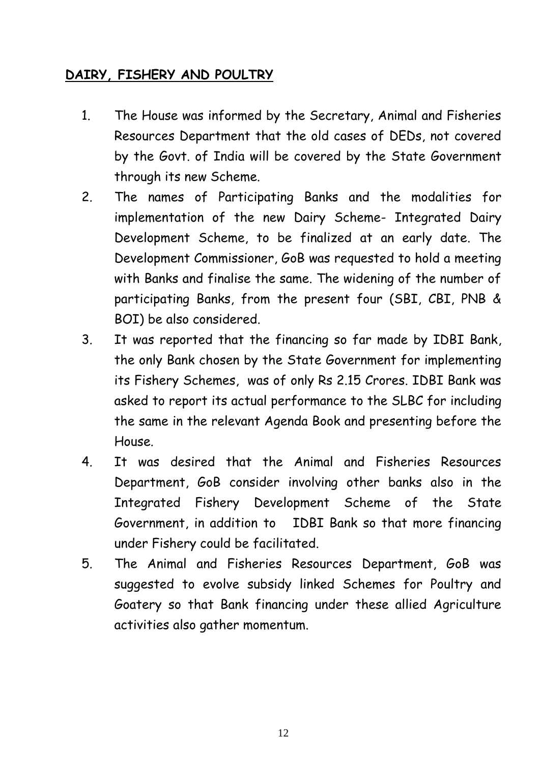## **DAIRY, FISHERY AND POULTRY**

- 1. The House was informed by the Secretary, Animal and Fisheries Resources Department that the old cases of DEDs, not covered by the Govt. of India will be covered by the State Government through its new Scheme.
- 2. The names of Participating Banks and the modalities for implementation of the new Dairy Scheme- Integrated Dairy Development Scheme, to be finalized at an early date. The Development Commissioner, GoB was requested to hold a meeting with Banks and finalise the same. The widening of the number of participating Banks, from the present four (SBI, CBI, PNB & BOI) be also considered.
- 3. It was reported that the financing so far made by IDBI Bank, the only Bank chosen by the State Government for implementing its Fishery Schemes, was of only Rs 2.15 Crores. IDBI Bank was asked to report its actual performance to the SLBC for including the same in the relevant Agenda Book and presenting before the House.
- 4. It was desired that the Animal and Fisheries Resources Department, GoB consider involving other banks also in the Integrated Fishery Development Scheme of the State Government, in addition to IDBI Bank so that more financing under Fishery could be facilitated.
- 5. The Animal and Fisheries Resources Department, GoB was suggested to evolve subsidy linked Schemes for Poultry and Goatery so that Bank financing under these allied Agriculture activities also gather momentum.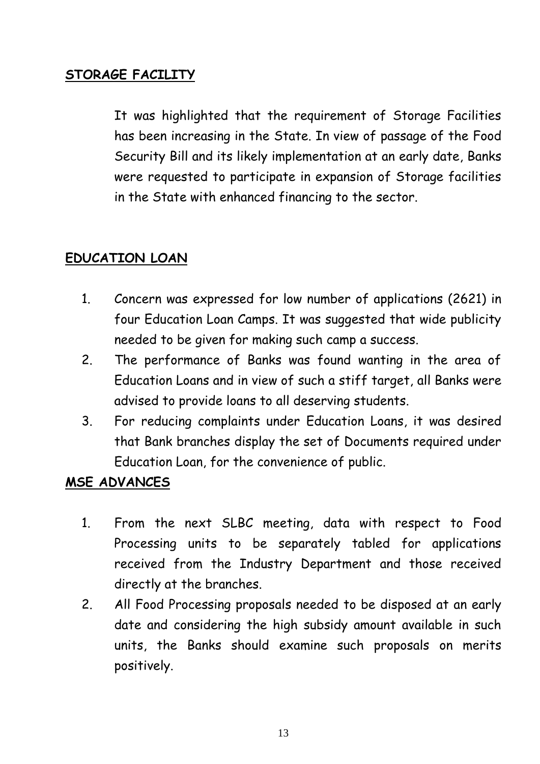## **STORAGE FACILITY**

It was highlighted that the requirement of Storage Facilities has been increasing in the State. In view of passage of the Food Security Bill and its likely implementation at an early date, Banks were requested to participate in expansion of Storage facilities in the State with enhanced financing to the sector.

## **EDUCATION LOAN**

- 1. Concern was expressed for low number of applications (2621) in four Education Loan Camps. It was suggested that wide publicity needed to be given for making such camp a success.
- 2. The performance of Banks was found wanting in the area of Education Loans and in view of such a stiff target, all Banks were advised to provide loans to all deserving students.
- 3. For reducing complaints under Education Loans, it was desired that Bank branches display the set of Documents required under Education Loan, for the convenience of public.

## **MSE ADVANCES**

- 1. From the next SLBC meeting, data with respect to Food Processing units to be separately tabled for applications received from the Industry Department and those received directly at the branches.
- 2. All Food Processing proposals needed to be disposed at an early date and considering the high subsidy amount available in such units, the Banks should examine such proposals on merits positively.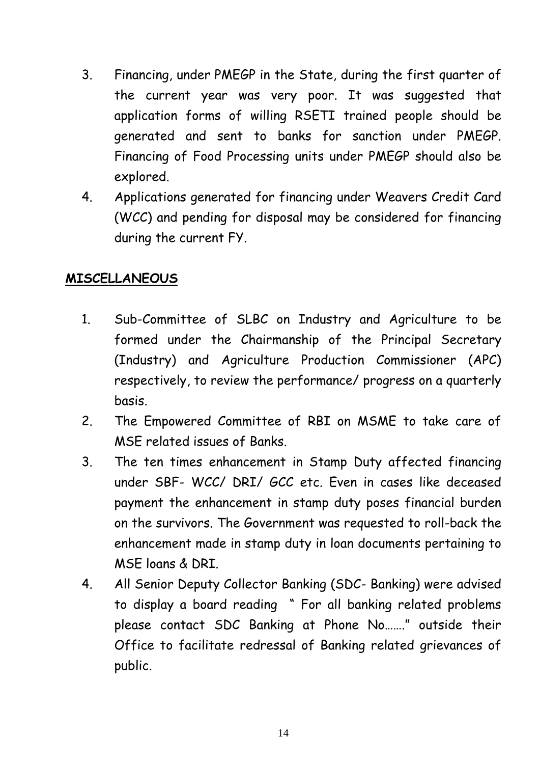- 3. Financing, under PMEGP in the State, during the first quarter of the current year was very poor. It was suggested that application forms of willing RSETI trained people should be generated and sent to banks for sanction under PMEGP. Financing of Food Processing units under PMEGP should also be explored.
- 4. Applications generated for financing under Weavers Credit Card (WCC) and pending for disposal may be considered for financing during the current FY.

#### **MISCELLANEOUS**

- 1. Sub-Committee of SLBC on Industry and Agriculture to be formed under the Chairmanship of the Principal Secretary (Industry) and Agriculture Production Commissioner (APC) respectively, to review the performance/ progress on a quarterly basis.
- 2. The Empowered Committee of RBI on MSME to take care of MSE related issues of Banks.
- 3. The ten times enhancement in Stamp Duty affected financing under SBF- WCC/ DRI/ GCC etc. Even in cases like deceased payment the enhancement in stamp duty poses financial burden on the survivors. The Government was requested to roll-back the enhancement made in stamp duty in loan documents pertaining to MSE loans & DRI.
- 4. All Senior Deputy Collector Banking (SDC- Banking) were advised to display a board reading " For all banking related problems please contact SDC Banking at Phone No……." outside their Office to facilitate redressal of Banking related grievances of public.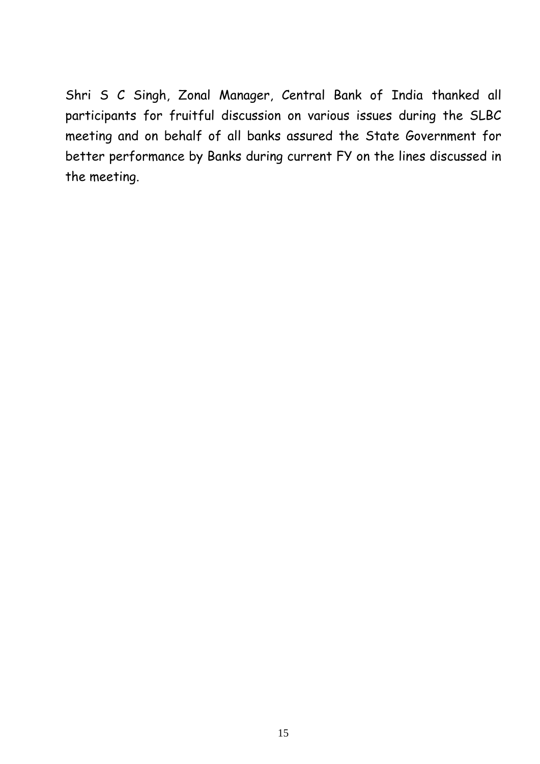Shri S C Singh, Zonal Manager, Central Bank of India thanked all participants for fruitful discussion on various issues during the SLBC meeting and on behalf of all banks assured the State Government for better performance by Banks during current FY on the lines discussed in the meeting.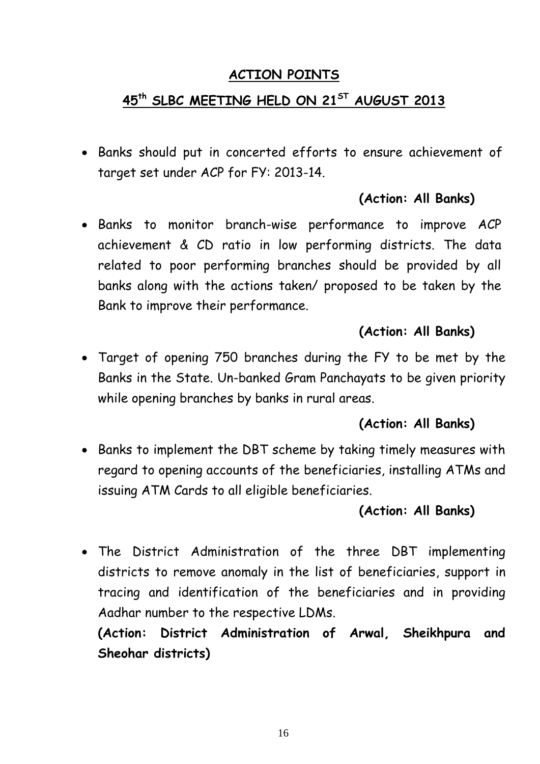#### **ACTION POINTS**

## **45 th SLBC MEETING HELD ON 21ST AUGUST 2013**

 Banks should put in concerted efforts to ensure achievement of target set under ACP for FY: 2013-14.

## **(Action: All Banks)**

 Banks to monitor branch-wise performance to improve ACP achievement & CD ratio in low performing districts. The data related to poor performing branches should be provided by all banks along with the actions taken/ proposed to be taken by the Bank to improve their performance.

## **(Action: All Banks)**

 Target of opening 750 branches during the FY to be met by the Banks in the State. Un-banked Gram Panchayats to be given priority while opening branches by banks in rural areas.

## **(Action: All Banks)**

• Banks to implement the DBT scheme by taking timely measures with regard to opening accounts of the beneficiaries, installing ATMs and issuing ATM Cards to all eligible beneficiaries.

#### **(Action: All Banks)**

 The District Administration of the three DBT implementing districts to remove anomaly in the list of beneficiaries, support in tracing and identification of the beneficiaries and in providing Aadhar number to the respective LDMs.

**(Action: District Administration of Arwal, Sheikhpura and Sheohar districts)**

16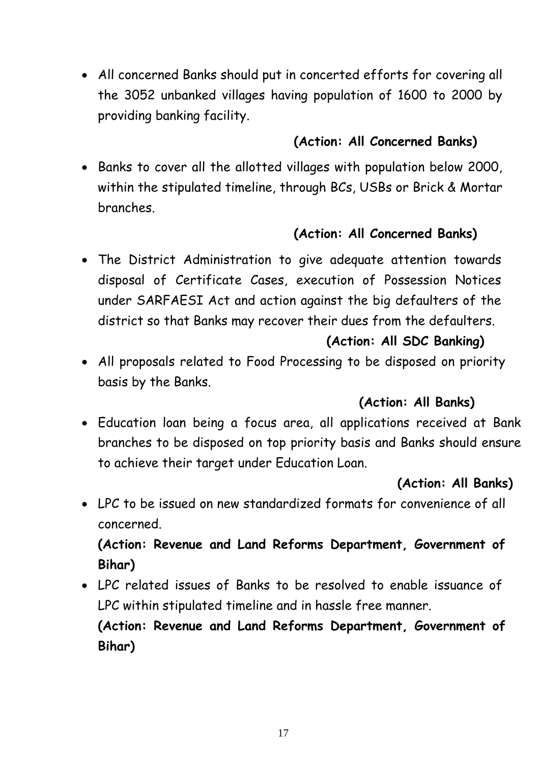All concerned Banks should put in concerted efforts for covering all the 3052 unbanked villages having population of 1600 to 2000 by providing banking facility.

## **(Action: All Concerned Banks)**

 Banks to cover all the allotted villages with population below 2000, within the stipulated timeline, through BCs, USBs or Brick & Mortar branches.

## **(Action: All Concerned Banks)**

 The District Administration to give adequate attention towards disposal of Certificate Cases, execution of Possession Notices under SARFAESI Act and action against the big defaulters of the district so that Banks may recover their dues from the defaulters.

## **(Action: All SDC Banking)**

 All proposals related to Food Processing to be disposed on priority basis by the Banks.

## **(Action: All Banks)**

 Education loan being a focus area, all applications received at Bank branches to be disposed on top priority basis and Banks should ensure to achieve their target under Education Loan.

## **(Action: All Banks)**

 LPC to be issued on new standardized formats for convenience of all concerned.

## **(Action: Revenue and Land Reforms Department, Government of Bihar)**

 LPC related issues of Banks to be resolved to enable issuance of LPC within stipulated timeline and in hassle free manner.

**(Action: Revenue and Land Reforms Department, Government of Bihar)**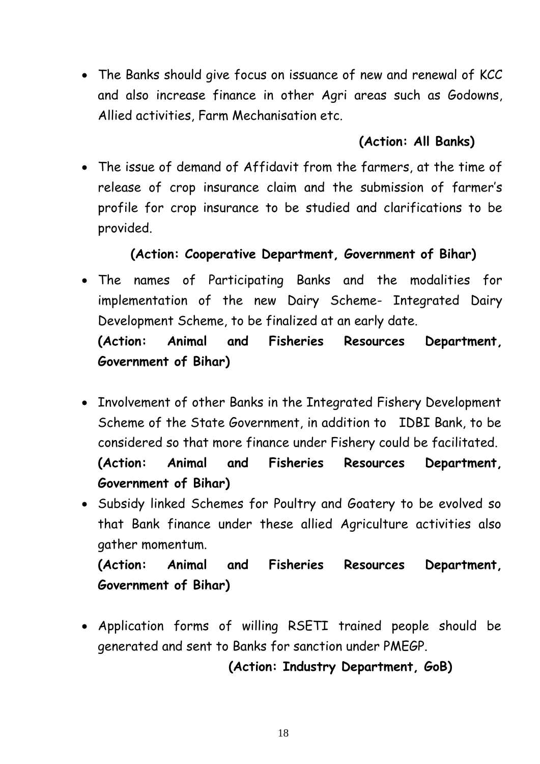The Banks should give focus on issuance of new and renewal of KCC and also increase finance in other Agri areas such as Godowns, Allied activities, Farm Mechanisation etc.

## **(Action: All Banks)**

 The issue of demand of Affidavit from the farmers, at the time of release of crop insurance claim and the submission of farmer's profile for crop insurance to be studied and clarifications to be provided.

## **(Action: Cooperative Department, Government of Bihar)**

- The names of Participating Banks and the modalities for implementation of the new Dairy Scheme- Integrated Dairy Development Scheme, to be finalized at an early date. **(Action: Animal and Fisheries Resources Department, Government of Bihar)**
- Involvement of other Banks in the Integrated Fishery Development Scheme of the State Government, in addition to IDBI Bank, to be considered so that more finance under Fishery could be facilitated. **(Action: Animal and Fisheries Resources Department, Government of Bihar)**
- Subsidy linked Schemes for Poultry and Goatery to be evolved so that Bank finance under these allied Agriculture activities also gather momentum.

**(Action: Animal and Fisheries Resources Department, Government of Bihar)**

 Application forms of willing RSETI trained people should be generated and sent to Banks for sanction under PMEGP.

## **(Action: Industry Department, GoB)**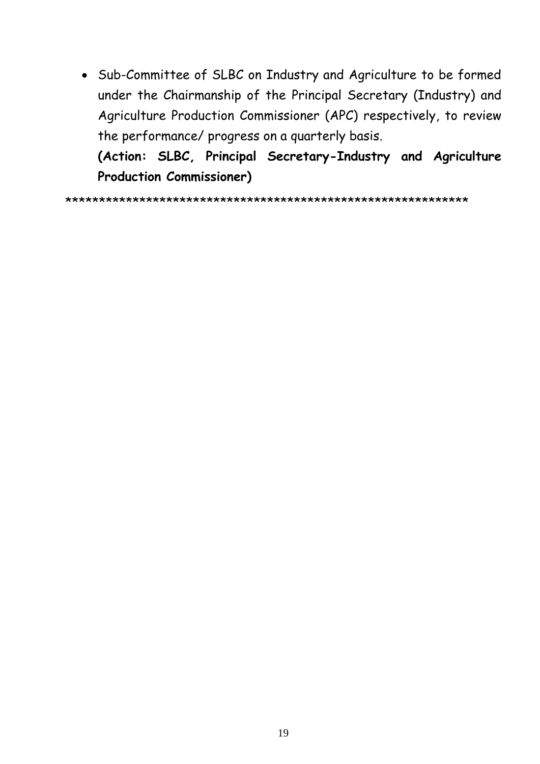Sub-Committee of SLBC on Industry and Agriculture to be formed under the Chairmanship of the Principal Secretary (Industry) and Agriculture Production Commissioner (APC) respectively, to review the performance/ progress on a quarterly basis.

**(Action: SLBC, Principal Secretary-Industry and Agriculture Production Commissioner)**

\*\*\*\*\*\*\*\*\*\*\*\*\*\*\*\*\*\*\*\*\*\*\*\*\*\*\*\*\*\*\*\*\*\*\*\*\*\*\*\*\*\*\*\*\*\*\*\*\*\*\*\*\*\*\*\*\*\*\*\*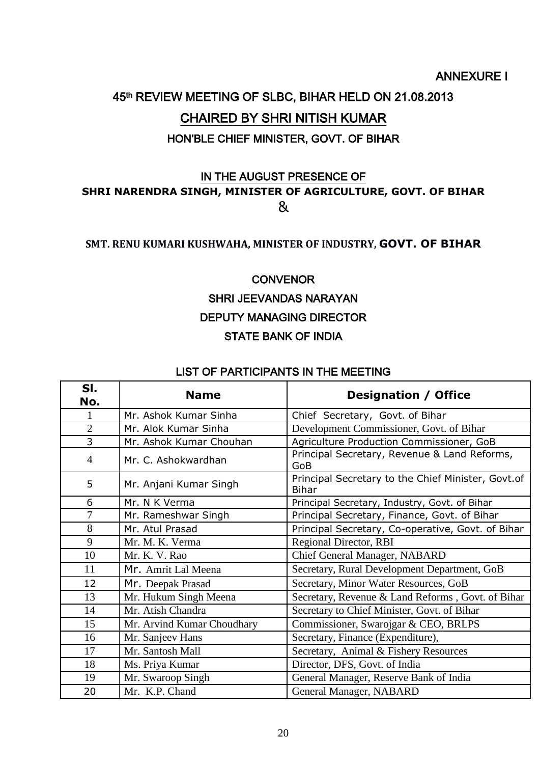#### ANNEXURE I

# 45th REVIEW MEETING OF SLBC, BIHAR HELD ON 21.08.2013 CHAIRED BY SHRI NITISH KUMAR HON'BLE CHIEF MINISTER, GOVT. OF BIHAR

#### IN THE AUGUST PRESENCE OF **SHRI NARENDRA SINGH, MINISTER OF AGRICULTURE, GOVT. OF BIHAR** &

#### **SMT. RENU KUMARI KUSHWAHA, MINISTER OF INDUSTRY, GOVT. OF BIHAR**

#### **CONVENOR**

#### SHRI JEEVANDAS NARAYAN DEPUTY MANAGING DIRECTOR STATE BANK OF INDIA

#### LIST OF PARTICIPANTS IN THE MEETING

| SI.<br>No.     | <b>Name</b>                | <b>Designation / Office</b>                                        |
|----------------|----------------------------|--------------------------------------------------------------------|
|                | Mr. Ashok Kumar Sinha      | Chief Secretary, Govt. of Bihar                                    |
| $\overline{2}$ | Mr. Alok Kumar Sinha       | Development Commissioner, Govt. of Bihar                           |
| 3              | Mr. Ashok Kumar Chouhan    | Agriculture Production Commissioner, GoB                           |
| $\overline{4}$ | Mr. C. Ashokwardhan        | Principal Secretary, Revenue & Land Reforms,<br>GoB                |
| 5              | Mr. Anjani Kumar Singh     | Principal Secretary to the Chief Minister, Govt.of<br><b>Bihar</b> |
| 6              | Mr. N K Verma              | Principal Secretary, Industry, Govt. of Bihar                      |
| 7              | Mr. Rameshwar Singh        | Principal Secretary, Finance, Govt. of Bihar                       |
| 8              | Mr. Atul Prasad            | Principal Secretary, Co-operative, Govt. of Bihar                  |
| 9              | Mr. M. K. Verma            | <b>Regional Director, RBI</b>                                      |
| 10             | Mr. K. V. Rao              | Chief General Manager, NABARD                                      |
| 11             | Mr. Amrit Lal Meena        | Secretary, Rural Development Department, GoB                       |
| 12             | Mr. Deepak Prasad          | Secretary, Minor Water Resources, GoB                              |
| 13             | Mr. Hukum Singh Meena      | Secretary, Revenue & Land Reforms, Govt. of Bihar                  |
| 14             | Mr. Atish Chandra          | Secretary to Chief Minister, Govt. of Bihar                        |
| 15             | Mr. Arvind Kumar Choudhary | Commissioner, Swarojgar & CEO, BRLPS                               |
| 16             | Mr. Sanjeev Hans           | Secretary, Finance (Expenditure),                                  |
| 17             | Mr. Santosh Mall           | Secretary, Animal & Fishery Resources                              |
| 18             | Ms. Priya Kumar            | Director, DFS, Govt. of India                                      |
| 19             | Mr. Swaroop Singh          | General Manager, Reserve Bank of India                             |
| 20             | Mr. K.P. Chand             | General Manager, NABARD                                            |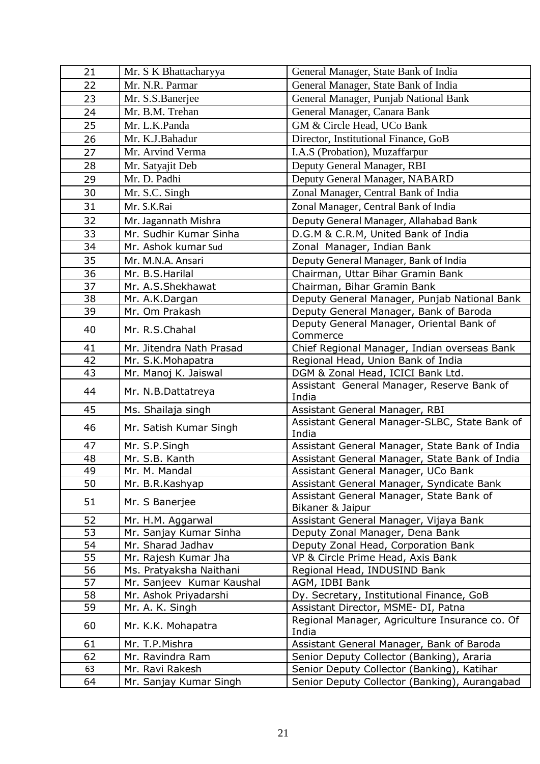| 21 | Mr. S K Bhattacharyya     | General Manager, State Bank of India                         |
|----|---------------------------|--------------------------------------------------------------|
| 22 | Mr. N.R. Parmar           | General Manager, State Bank of India                         |
| 23 | Mr. S.S.Banerjee          | General Manager, Punjab National Bank                        |
| 24 | Mr. B.M. Trehan           | General Manager, Canara Bank                                 |
| 25 | Mr. L.K.Panda             | GM & Circle Head, UCo Bank                                   |
| 26 | Mr. K.J.Bahadur           | Director, Institutional Finance, GoB                         |
| 27 | Mr. Arvind Verma          | I.A.S (Probation), Muzaffarpur                               |
| 28 | Mr. Satyajit Deb          | Deputy General Manager, RBI                                  |
| 29 | Mr. D. Padhi              | Deputy General Manager, NABARD                               |
| 30 | Mr. S.C. Singh            | Zonal Manager, Central Bank of India                         |
| 31 | Mr. S.K.Rai               | Zonal Manager, Central Bank of India                         |
| 32 | Mr. Jagannath Mishra      | Deputy General Manager, Allahabad Bank                       |
| 33 | Mr. Sudhir Kumar Sinha    | D.G.M & C.R.M, United Bank of India                          |
| 34 | Mr. Ashok kumar Sud       | Zonal Manager, Indian Bank                                   |
| 35 | Mr. M.N.A. Ansari         | Deputy General Manager, Bank of India                        |
| 36 | Mr. B.S.Harilal           | Chairman, Uttar Bihar Gramin Bank                            |
| 37 | Mr. A.S.Shekhawat         | Chairman, Bihar Gramin Bank                                  |
| 38 | Mr. A.K.Dargan            | Deputy General Manager, Punjab National Bank                 |
| 39 | Mr. Om Prakash            | Deputy General Manager, Bank of Baroda                       |
| 40 | Mr. R.S.Chahal            | Deputy General Manager, Oriental Bank of                     |
|    |                           | Commerce                                                     |
| 41 | Mr. Jitendra Nath Prasad  | Chief Regional Manager, Indian overseas Bank                 |
| 42 | Mr. S.K.Mohapatra         | Regional Head, Union Bank of India                           |
| 43 | Mr. Manoj K. Jaiswal      | DGM & Zonal Head, ICICI Bank Ltd.                            |
| 44 | Mr. N.B.Dattatreya        | Assistant General Manager, Reserve Bank of<br>India          |
| 45 | Ms. Shailaja singh        | Assistant General Manager, RBI                               |
| 46 | Mr. Satish Kumar Singh    | Assistant General Manager-SLBC, State Bank of<br>India       |
| 47 | Mr. S.P.Singh             | Assistant General Manager, State Bank of India               |
| 48 | Mr. S.B. Kanth            | Assistant General Manager, State Bank of India               |
| 49 | Mr. M. Mandal             | Assistant General Manager, UCo Bank                          |
| 50 | Mr. B.R.Kashyap           | Assistant General Manager, Syndicate Bank                    |
| 51 | Mr. S Banerjee            | Assistant General Manager, State Bank of<br>Bikaner & Jaipur |
| 52 | Mr. H.M. Aggarwal         | Assistant General Manager, Vijaya Bank                       |
| 53 | Mr. Sanjay Kumar Sinha    | Deputy Zonal Manager, Dena Bank                              |
| 54 | Mr. Sharad Jadhav         | Deputy Zonal Head, Corporation Bank                          |
| 55 | Mr. Rajesh Kumar Jha      | VP & Circle Prime Head, Axis Bank                            |
| 56 | Ms. Pratyaksha Naithani   | Regional Head, INDUSIND Bank                                 |
| 57 | Mr. Sanjeev Kumar Kaushal | AGM, IDBI Bank                                               |
| 58 | Mr. Ashok Priyadarshi     | Dy. Secretary, Institutional Finance, GoB                    |
| 59 | Mr. A. K. Singh           | Assistant Director, MSME- DI, Patna                          |
| 60 | Mr. K.K. Mohapatra        | Regional Manager, Agriculture Insurance co. Of<br>India      |
| 61 | Mr. T.P.Mishra            | Assistant General Manager, Bank of Baroda                    |
| 62 | Mr. Ravindra Ram          | Senior Deputy Collector (Banking), Araria                    |
| 63 | Mr. Ravi Rakesh           | Senior Deputy Collector (Banking), Katihar                   |
| 64 | Mr. Sanjay Kumar Singh    | Senior Deputy Collector (Banking), Aurangabad                |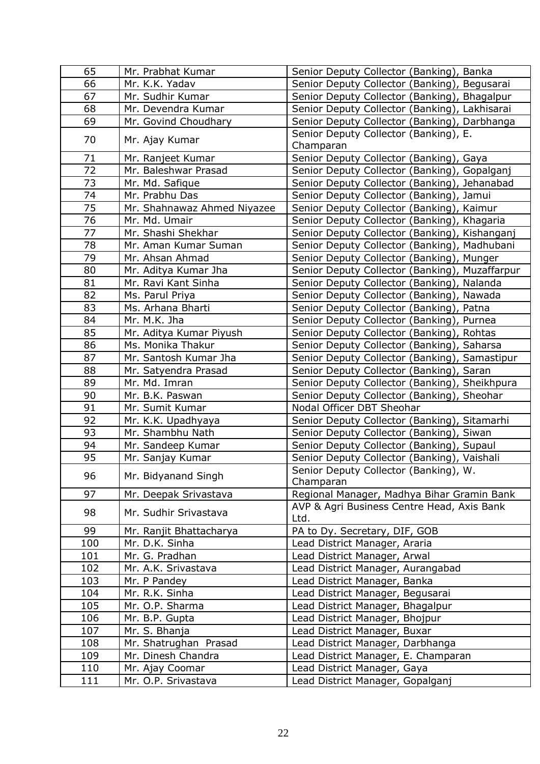| 65  | Mr. Prabhat Kumar           | Senior Deputy Collector (Banking), Banka           |
|-----|-----------------------------|----------------------------------------------------|
| 66  | Mr. K.K. Yadav              | Senior Deputy Collector (Banking), Begusarai       |
| 67  | Mr. Sudhir Kumar            | Senior Deputy Collector (Banking), Bhagalpur       |
| 68  | Mr. Devendra Kumar          | Senior Deputy Collector (Banking), Lakhisarai      |
| 69  | Mr. Govind Choudhary        | Senior Deputy Collector (Banking), Darbhanga       |
| 70  | Mr. Ajay Kumar              | Senior Deputy Collector (Banking), E.<br>Champaran |
| 71  | Mr. Ranjeet Kumar           | Senior Deputy Collector (Banking), Gaya            |
| 72  | Mr. Baleshwar Prasad        | Senior Deputy Collector (Banking), Gopalganj       |
| 73  | Mr. Md. Safique             | Senior Deputy Collector (Banking), Jehanabad       |
| 74  | Mr. Prabhu Das              | Senior Deputy Collector (Banking), Jamui           |
| 75  | Mr. Shahnawaz Ahmed Niyazee | Senior Deputy Collector (Banking), Kaimur          |
| 76  | Mr. Md. Umair               | Senior Deputy Collector (Banking), Khagaria        |
| 77  | Mr. Shashi Shekhar          | Senior Deputy Collector (Banking), Kishanganj      |
| 78  | Mr. Aman Kumar Suman        | Senior Deputy Collector (Banking), Madhubani       |
| 79  | Mr. Ahsan Ahmad             | Senior Deputy Collector (Banking), Munger          |
| 80  | Mr. Aditya Kumar Jha        | Senior Deputy Collector (Banking), Muzaffarpur     |
| 81  | Mr. Ravi Kant Sinha         | Senior Deputy Collector (Banking), Nalanda         |
| 82  | Ms. Parul Priya             | Senior Deputy Collector (Banking), Nawada          |
| 83  | Ms. Arhana Bharti           | Senior Deputy Collector (Banking), Patna           |
| 84  | Mr. M.K. Jha                | Senior Deputy Collector (Banking), Purnea          |
| 85  | Mr. Aditya Kumar Piyush     | Senior Deputy Collector (Banking), Rohtas          |
| 86  | Ms. Monika Thakur           | Senior Deputy Collector (Banking), Saharsa         |
| 87  | Mr. Santosh Kumar Jha       | Senior Deputy Collector (Banking), Samastipur      |
| 88  | Mr. Satyendra Prasad        | Senior Deputy Collector (Banking), Saran           |
| 89  | Mr. Md. Imran               | Senior Deputy Collector (Banking), Sheikhpura      |
| 90  | Mr. B.K. Paswan             | Senior Deputy Collector (Banking), Sheohar         |
| 91  | Mr. Sumit Kumar             | Nodal Officer DBT Sheohar                          |
| 92  | Mr. K.K. Upadhyaya          | Senior Deputy Collector (Banking), Sitamarhi       |
| 93  | Mr. Shambhu Nath            | Senior Deputy Collector (Banking), Siwan           |
| 94  | Mr. Sandeep Kumar           | Senior Deputy Collector (Banking), Supaul          |
| 95  | Mr. Sanjay Kumar            | Senior Deputy Collector (Banking), Vaishali        |
|     |                             | Senior Deputy Collector (Banking), W.              |
| 96  | Mr. Bidyanand Singh         | Champaran                                          |
| 97  | Mr. Deepak Srivastava       | Regional Manager, Madhya Bihar Gramin Bank         |
|     |                             | AVP & Agri Business Centre Head, Axis Bank         |
| 98  | Mr. Sudhir Srivastava       | Ltd.                                               |
| 99  | Mr. Ranjit Bhattacharya     | PA to Dy. Secretary, DIF, GOB                      |
| 100 | Mr. D.K. Sinha              | Lead District Manager, Araria                      |
| 101 | Mr. G. Pradhan              | Lead District Manager, Arwal                       |
| 102 | Mr. A.K. Srivastava         | Lead District Manager, Aurangabad                  |
| 103 | Mr. P Pandey                | Lead District Manager, Banka                       |
| 104 | Mr. R.K. Sinha              | Lead District Manager, Begusarai                   |
| 105 | Mr. O.P. Sharma             | Lead District Manager, Bhagalpur                   |
| 106 | Mr. B.P. Gupta              | Lead District Manager, Bhojpur                     |
| 107 | Mr. S. Bhanja               | Lead District Manager, Buxar                       |
| 108 | Mr. Shatrughan Prasad       | Lead District Manager, Darbhanga                   |
| 109 | Mr. Dinesh Chandra          | Lead District Manager, E. Champaran                |
| 110 | Mr. Ajay Coomar             | Lead District Manager, Gaya                        |
| 111 | Mr. O.P. Srivastava         | Lead District Manager, Gopalganj                   |
|     |                             |                                                    |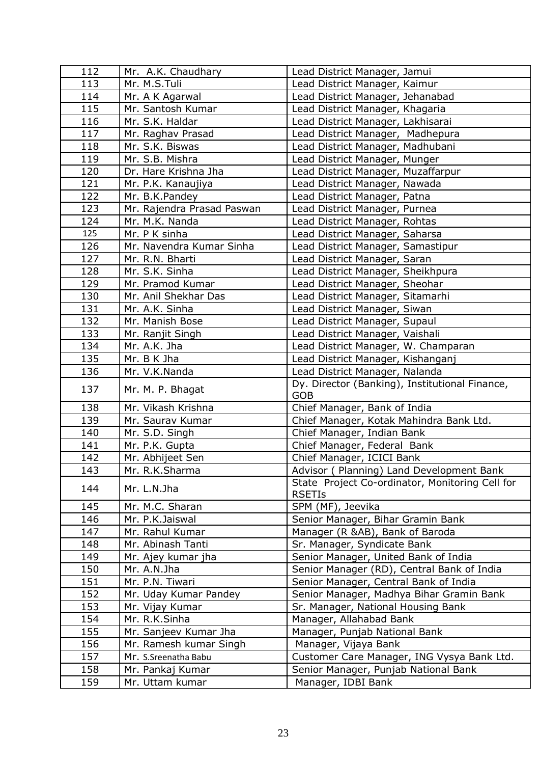| 112 | Mr. A.K. Chaudhary         | Lead District Manager, Jamui                                     |
|-----|----------------------------|------------------------------------------------------------------|
| 113 | Mr. M.S.Tuli               | Lead District Manager, Kaimur                                    |
| 114 | Mr. A K Agarwal            | Lead District Manager, Jehanabad                                 |
| 115 | Mr. Santosh Kumar          | Lead District Manager, Khagaria                                  |
| 116 | Mr. S.K. Haldar            | Lead District Manager, Lakhisarai                                |
| 117 | Mr. Raghav Prasad          | Lead District Manager, Madhepura                                 |
| 118 | Mr. S.K. Biswas            | Lead District Manager, Madhubani                                 |
| 119 | Mr. S.B. Mishra            | Lead District Manager, Munger                                    |
| 120 | Dr. Hare Krishna Jha       | Lead District Manager, Muzaffarpur                               |
| 121 | Mr. P.K. Kanaujiya         | Lead District Manager, Nawada                                    |
| 122 | Mr. B.K.Pandey             | Lead District Manager, Patna                                     |
| 123 | Mr. Rajendra Prasad Paswan | Lead District Manager, Purnea                                    |
| 124 | Mr. M.K. Nanda             | Lead District Manager, Rohtas                                    |
| 125 | Mr. P K sinha              | Lead District Manager, Saharsa                                   |
| 126 | Mr. Navendra Kumar Sinha   | Lead District Manager, Samastipur                                |
| 127 | Mr. R.N. Bharti            | Lead District Manager, Saran                                     |
| 128 | Mr. S.K. Sinha             | Lead District Manager, Sheikhpura                                |
| 129 | Mr. Pramod Kumar           | Lead District Manager, Sheohar                                   |
| 130 | Mr. Anil Shekhar Das       | Lead District Manager, Sitamarhi                                 |
| 131 | Mr. A.K. Sinha             | Lead District Manager, Siwan                                     |
| 132 | Mr. Manish Bose            | Lead District Manager, Supaul                                    |
| 133 | Mr. Ranjit Singh           | Lead District Manager, Vaishali                                  |
| 134 | Mr. A.K. Jha               | Lead District Manager, W. Champaran                              |
| 135 | Mr. B K Jha                | Lead District Manager, Kishanganj                                |
| 136 | Mr. V.K.Nanda              | Lead District Manager, Nalanda                                   |
| 137 | Mr. M. P. Bhagat           | Dy. Director (Banking), Institutional Finance,<br><b>GOB</b>     |
| 138 | Mr. Vikash Krishna         | Chief Manager, Bank of India                                     |
| 139 | Mr. Saurav Kumar           | Chief Manager, Kotak Mahindra Bank Ltd.                          |
| 140 | Mr. S.D. Singh             | Chief Manager, Indian Bank                                       |
| 141 | Mr. P.K. Gupta             | Chief Manager, Federal Bank                                      |
| 142 | Mr. Abhijeet Sen           | Chief Manager, ICICI Bank                                        |
| 143 | Mr. R.K.Sharma             | Advisor ( Planning) Land Development Bank                        |
| 144 | Mr. L.N.Jha                | State Project Co-ordinator, Monitoring Cell for<br><b>RSETIS</b> |
| 145 | Mr. M.C. Sharan            | SPM (MF), Jeevika                                                |
| 146 | Mr. P.K.Jaiswal            | Senior Manager, Bihar Gramin Bank                                |
| 147 | Mr. Rahul Kumar            | Manager (R &AB), Bank of Baroda                                  |
| 148 | Mr. Abinash Tanti          | Sr. Manager, Syndicate Bank                                      |
| 149 | Mr. Ajey kumar jha         | Senior Manager, United Bank of India                             |
| 150 | Mr. A.N.Jha                | Senior Manager (RD), Central Bank of India                       |
| 151 | Mr. P.N. Tiwari            | Senior Manager, Central Bank of India                            |
| 152 | Mr. Uday Kumar Pandey      | Senior Manager, Madhya Bihar Gramin Bank                         |
| 153 | Mr. Vijay Kumar            | Sr. Manager, National Housing Bank                               |
| 154 | Mr. R.K.Sinha              | Manager, Allahabad Bank                                          |
| 155 | Mr. Sanjeev Kumar Jha      | Manager, Punjab National Bank                                    |
| 156 | Mr. Ramesh kumar Singh     | Manager, Vijaya Bank                                             |
| 157 | Mr. S.Sreenatha Babu       | Customer Care Manager, ING Vysya Bank Ltd.                       |
| 158 | Mr. Pankaj Kumar           | Senior Manager, Punjab National Bank                             |
| 159 | Mr. Uttam kumar            | Manager, IDBI Bank                                               |
|     |                            |                                                                  |